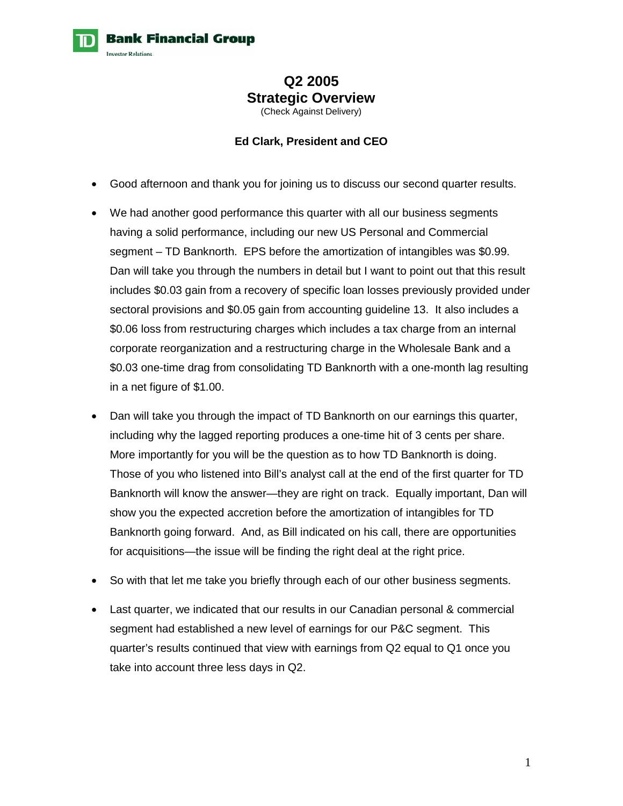## **Q2 2005 Strategic Overview**  (Check Against Delivery)

## **Ed Clark, President and CEO**

- Good afternoon and thank you for joining us to discuss our second quarter results.
- We had another good performance this quarter with all our business segments having a solid performance, including our new US Personal and Commercial segment – TD Banknorth. EPS before the amortization of intangibles was \$0.99. Dan will take you through the numbers in detail but I want to point out that this result includes \$0.03 gain from a recovery of specific loan losses previously provided under sectoral provisions and \$0.05 gain from accounting guideline 13. It also includes a \$0.06 loss from restructuring charges which includes a tax charge from an internal corporate reorganization and a restructuring charge in the Wholesale Bank and a \$0.03 one-time drag from consolidating TD Banknorth with a one-month lag resulting in a net figure of \$1.00.
- Dan will take you through the impact of TD Banknorth on our earnings this quarter, including why the lagged reporting produces a one-time hit of 3 cents per share. More importantly for you will be the question as to how TD Banknorth is doing. Those of you who listened into Bill's analyst call at the end of the first quarter for TD Banknorth will know the answer—they are right on track. Equally important, Dan will show you the expected accretion before the amortization of intangibles for TD Banknorth going forward. And, as Bill indicated on his call, there are opportunities for acquisitions—the issue will be finding the right deal at the right price.
- So with that let me take you briefly through each of our other business segments.
- Last quarter, we indicated that our results in our Canadian personal & commercial segment had established a new level of earnings for our P&C segment. This quarter's results continued that view with earnings from Q2 equal to Q1 once you take into account three less days in Q2.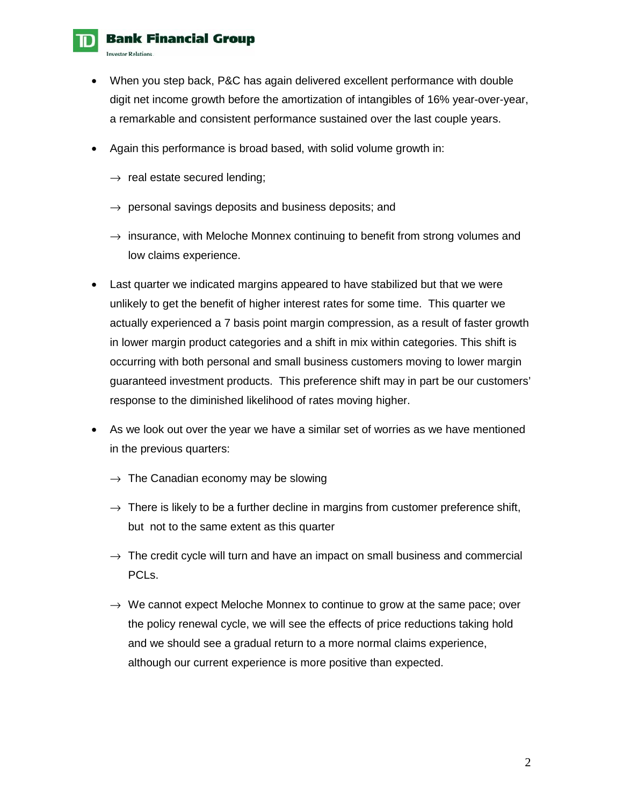

- When you step back, P&C has again delivered excellent performance with double digit net income growth before the amortization of intangibles of 16% year-over-year, a remarkable and consistent performance sustained over the last couple years.
- Again this performance is broad based, with solid volume growth in:
	- $\rightarrow$  real estate secured lending;
	- $\rightarrow$  personal savings deposits and business deposits; and
	- $\rightarrow$  insurance, with Meloche Monnex continuing to benefit from strong volumes and low claims experience.
- Last quarter we indicated margins appeared to have stabilized but that we were unlikely to get the benefit of higher interest rates for some time. This quarter we actually experienced a 7 basis point margin compression, as a result of faster growth in lower margin product categories and a shift in mix within categories. This shift is occurring with both personal and small business customers moving to lower margin guaranteed investment products. This preference shift may in part be our customers' response to the diminished likelihood of rates moving higher.
- As we look out over the year we have a similar set of worries as we have mentioned in the previous quarters:
	- $\rightarrow$  The Canadian economy may be slowing
	- $\rightarrow$  There is likely to be a further decline in margins from customer preference shift, but not to the same extent as this quarter
	- $\rightarrow$  The credit cycle will turn and have an impact on small business and commercial PCLs.
	- $\rightarrow$  We cannot expect Meloche Monnex to continue to grow at the same pace; over the policy renewal cycle, we will see the effects of price reductions taking hold and we should see a gradual return to a more normal claims experience, although our current experience is more positive than expected.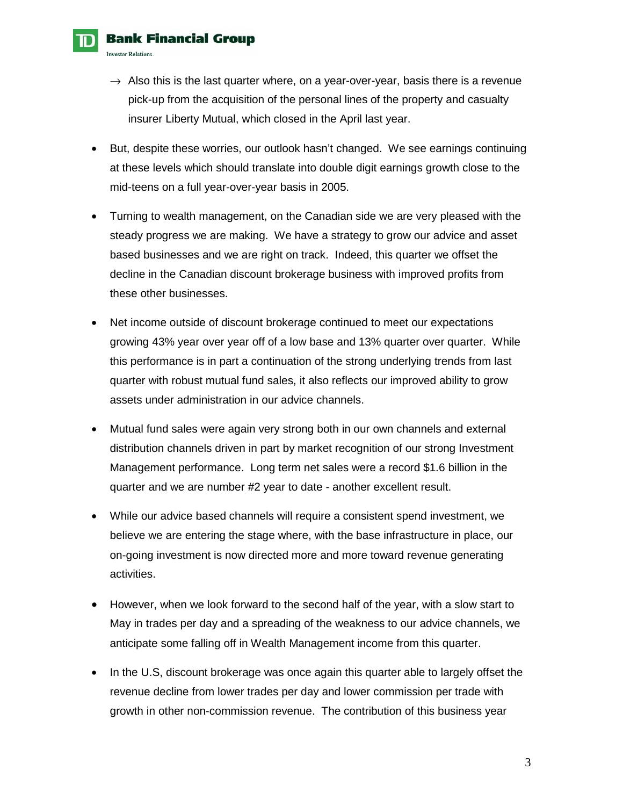

- $\rightarrow$  Also this is the last quarter where, on a year-over-year, basis there is a revenue pick-up from the acquisition of the personal lines of the property and casualty insurer Liberty Mutual, which closed in the April last year.
- But, despite these worries, our outlook hasn't changed. We see earnings continuing at these levels which should translate into double digit earnings growth close to the mid-teens on a full year-over-year basis in 2005.
- Turning to wealth management, on the Canadian side we are very pleased with the steady progress we are making. We have a strategy to grow our advice and asset based businesses and we are right on track. Indeed, this quarter we offset the decline in the Canadian discount brokerage business with improved profits from these other businesses.
- Net income outside of discount brokerage continued to meet our expectations growing 43% year over year off of a low base and 13% quarter over quarter. While this performance is in part a continuation of the strong underlying trends from last quarter with robust mutual fund sales, it also reflects our improved ability to grow assets under administration in our advice channels.
- Mutual fund sales were again very strong both in our own channels and external distribution channels driven in part by market recognition of our strong Investment Management performance. Long term net sales were a record \$1.6 billion in the quarter and we are number #2 year to date - another excellent result.
- While our advice based channels will require a consistent spend investment, we believe we are entering the stage where, with the base infrastructure in place, our on-going investment is now directed more and more toward revenue generating activities.
- However, when we look forward to the second half of the year, with a slow start to May in trades per day and a spreading of the weakness to our advice channels, we anticipate some falling off in Wealth Management income from this quarter.
- In the U.S, discount brokerage was once again this quarter able to largely offset the revenue decline from lower trades per day and lower commission per trade with growth in other non-commission revenue. The contribution of this business year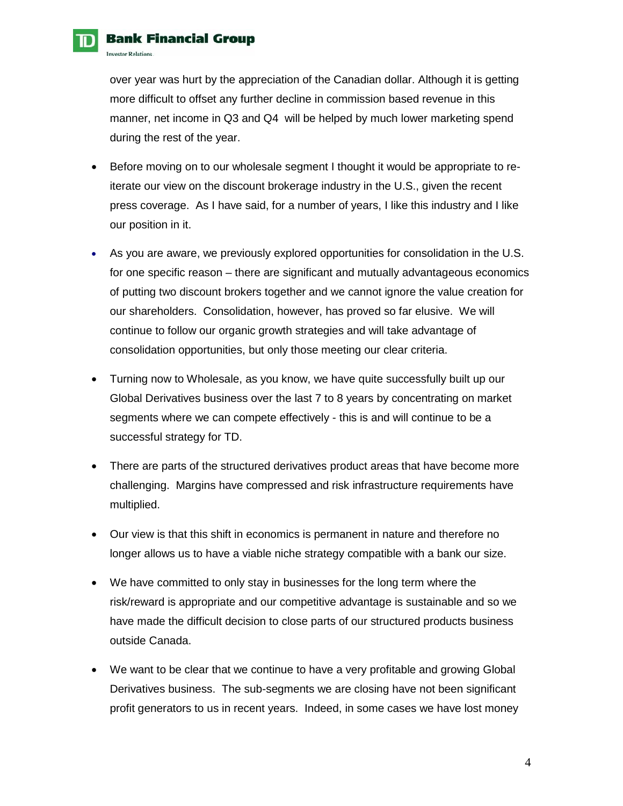over year was hurt by the appreciation of the Canadian dollar. Although it is getting more difficult to offset any further decline in commission based revenue in this manner, net income in Q3 and Q4 will be helped by much lower marketing spend during the rest of the year.

- Before moving on to our wholesale segment I thought it would be appropriate to reiterate our view on the discount brokerage industry in the U.S., given the recent press coverage. As I have said, for a number of years, I like this industry and I like our position in it.
- As you are aware, we previously explored opportunities for consolidation in the U.S. for one specific reason – there are significant and mutually advantageous economics of putting two discount brokers together and we cannot ignore the value creation for our shareholders. Consolidation, however, has proved so far elusive. We will continue to follow our organic growth strategies and will take advantage of consolidation opportunities, but only those meeting our clear criteria.
- Turning now to Wholesale, as you know, we have quite successfully built up our Global Derivatives business over the last 7 to 8 years by concentrating on market segments where we can compete effectively - this is and will continue to be a successful strategy for TD.
- There are parts of the structured derivatives product areas that have become more challenging. Margins have compressed and risk infrastructure requirements have multiplied.
- Our view is that this shift in economics is permanent in nature and therefore no longer allows us to have a viable niche strategy compatible with a bank our size.
- We have committed to only stay in businesses for the long term where the risk/reward is appropriate and our competitive advantage is sustainable and so we have made the difficult decision to close parts of our structured products business outside Canada.
- We want to be clear that we continue to have a very profitable and growing Global Derivatives business. The sub-segments we are closing have not been significant profit generators to us in recent years. Indeed, in some cases we have lost money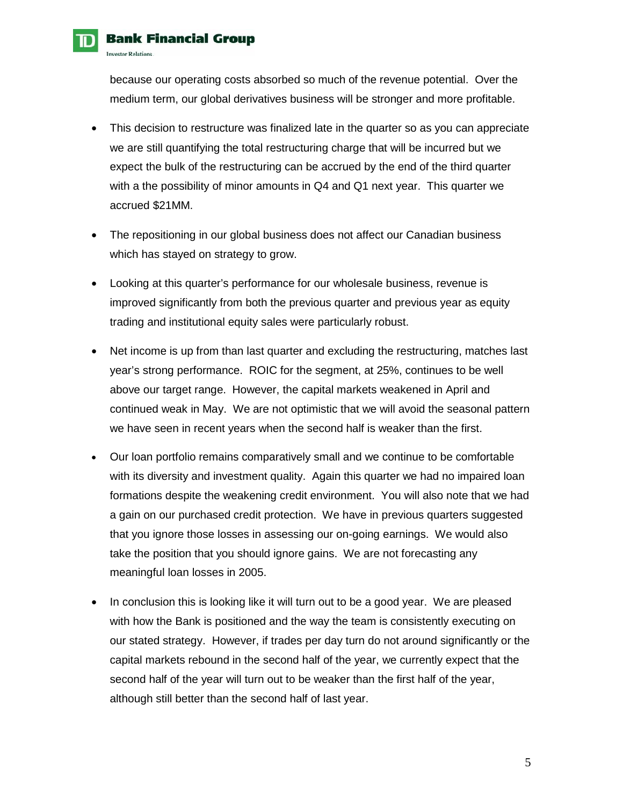because our operating costs absorbed so much of the revenue potential. Over the medium term, our global derivatives business will be stronger and more profitable.

- This decision to restructure was finalized late in the quarter so as you can appreciate we are still quantifying the total restructuring charge that will be incurred but we expect the bulk of the restructuring can be accrued by the end of the third quarter with a the possibility of minor amounts in Q4 and Q1 next year. This quarter we accrued \$21MM.
- The repositioning in our global business does not affect our Canadian business which has stayed on strategy to grow.
- Looking at this quarter's performance for our wholesale business, revenue is improved significantly from both the previous quarter and previous year as equity trading and institutional equity sales were particularly robust.
- Net income is up from than last quarter and excluding the restructuring, matches last year's strong performance. ROIC for the segment, at 25%, continues to be well above our target range. However, the capital markets weakened in April and continued weak in May. We are not optimistic that we will avoid the seasonal pattern we have seen in recent years when the second half is weaker than the first.
- Our loan portfolio remains comparatively small and we continue to be comfortable with its diversity and investment quality. Again this quarter we had no impaired loan formations despite the weakening credit environment. You will also note that we had a gain on our purchased credit protection. We have in previous quarters suggested that you ignore those losses in assessing our on-going earnings. We would also take the position that you should ignore gains. We are not forecasting any meaningful loan losses in 2005.
- In conclusion this is looking like it will turn out to be a good year. We are pleased with how the Bank is positioned and the way the team is consistently executing on our stated strategy. However, if trades per day turn do not around significantly or the capital markets rebound in the second half of the year, we currently expect that the second half of the year will turn out to be weaker than the first half of the year, although still better than the second half of last year.